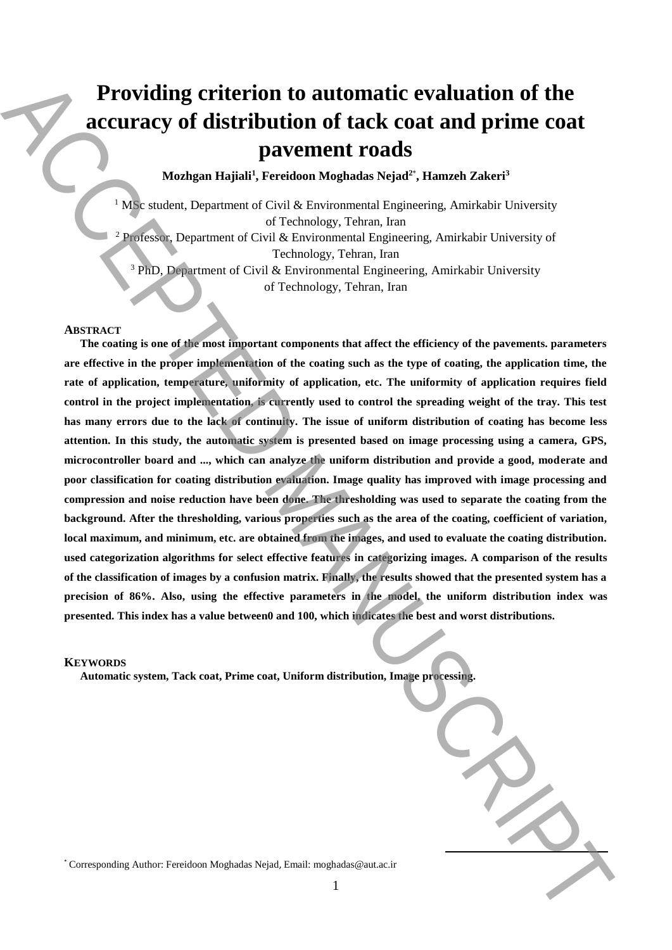# **Providing criterion to automatic evaluation of the accuracy of distribution of tack coat and prime coat pavement roads**

**Mozhgan Hajiali<sup>1</sup> , Fereidoon Moghadas Nejad<sup>2</sup>**\* **, Hamzeh Zakeri<sup>3</sup>**

<sup>1</sup> MS<sub>c</sub> student, Department of Civil & Environmental Engineering, Amirkabir University of Technology, Tehran, Iran <sup>2</sup> Professor, Department of Civil & Environmental Engineering, Amirkabir University of Technology, Tehran, Iran

<sup>3</sup> PhD, Department of Civil & Environmental Engineering, Amirkabir University

of Technology, Tehran, Iran

# **ABSTRACT**

**The coating is one of the most important components that affect the efficiency of the pavements. parameters are effective in the proper implementation of the coating such as the type of coating, the application time, the rate of application, temperature, uniformity of application, etc. The uniformity of application requires field control in the project implementation, is currently used to control the spreading weight of the tray. This test has many errors due to the lack of continuity. The issue of uniform distribution of coating has become less attention. In this study, the automatic system is presented based on image processing using a camera, GPS, microcontroller board and ..., which can analyze the uniform distribution and provide a good, moderate and poor classification for coating distribution evaluation. Image quality has improved with image processing and compression and noise reduction have been done. The thresholding was used to separate the coating from the background. After the thresholding, various properties such as the area of the coating, coefficient of variation, local maximum, and minimum, etc. are obtained from the images, and used to evaluate the coating distribution. used categorization algorithms for select effective features in categorizing images. A comparison of the results of the classification of images by a confusion matrix. Finally, the results showed that the presented system has a precision of 86%. Also, using the effective parameters in the model, the uniform distribution index was presented. This index has a value between0 and 100, which indicates the best and worst distributions. Providing criterion to automatic evaluation of the accuracy of distribution of tack coat and prime coat and prime coat such parameters to the accepted and the motion Mogel and the motion Manuscript and**  $\alpha$  **Celi Kennonce** 

## **KEYWORDS**

**Automatic system, Tack coat, Prime coat, Uniform distribution, Image processing.**

**.**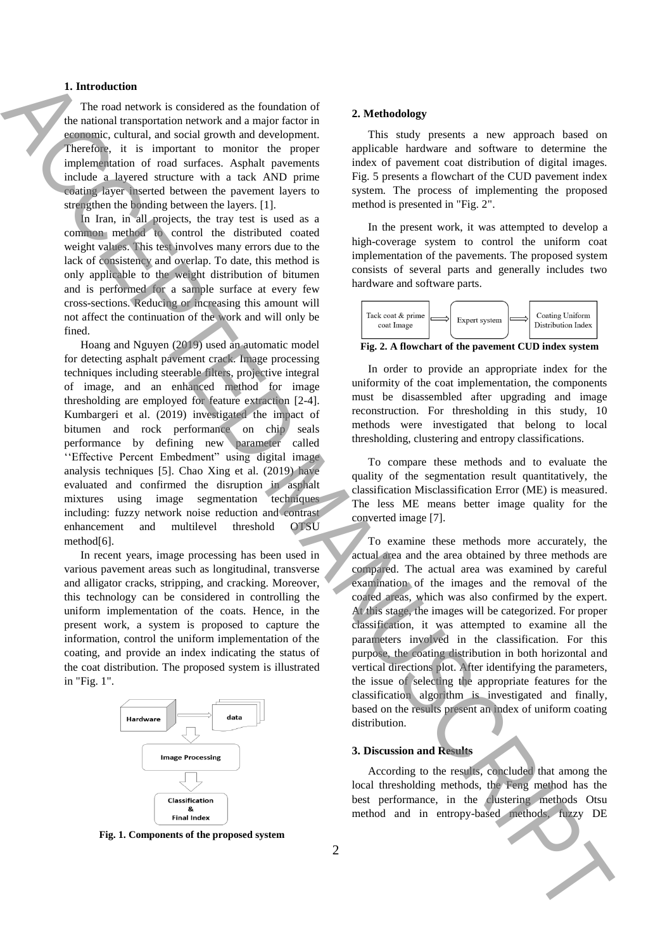# **1. Introduction**

The road network is considered as the foundation of the national transportation network and a major factor in economic, cultural, and social growth and development. Therefore, it is important to monitor the proper implementation of road surfaces. Asphalt pavements include a layered structure with a tack AND prime coating layer inserted between the pavement layers to strengthen the bonding between the layers. [1].

In Iran, in all projects, the tray test is used as a common method to control the distributed coated weight values. This test involves many errors due to the lack of consistency and overlap. To date, this method is only applicable to the weight distribution of bitumen and is performed for a sample surface at every few cross-sections. Reducing or increasing this amount will not affect the continuation of the work and will only be fined.

Hoang and Nguyen (2019) used an automatic model for detecting asphalt pavement crack. Image processing techniques including steerable filters, projective integral of image, and an enhanced method for image thresholding are employed for feature extraction [2-4]. Kumbargeri et al. (2019) investigated the impact of bitumen and rock performance on chip seals performance by defining new parameter called ''Effective Percent Embedment" using digital image analysis techniques [5]. Chao Xing et al. (2019) have evaluated and confirmed the disruption in asphalt mixtures using image segmentation techniques including: fuzzy network noise reduction and contrast enhancement and multilevel threshold OTSU method[6]. **1.** Interaction of the consistent of the consistent of the consistent methods, function and the consistent methods. And interaction and interaction and interaction and interaction and interaction and interaction and inte

In recent years, image processing has been used in various pavement areas such as longitudinal, transverse and alligator cracks, stripping, and cracking. Moreover, this technology can be considered in controlling the uniform implementation of the coats. Hence, in the present work, a system is proposed to capture the information, control the uniform implementation of the coating, and provide an index indicating the status of the coat distribution. The proposed system is illustrated in "Fig. 1".



**Fig. 1. Components of the proposed system**

#### **2. Methodology**

This study presents a new approach based on applicable hardware and software to determine the index of pavement coat distribution of digital images. Fig. 5 presents a flowchart of the CUD pavement index system. The process of implementing the proposed method is presented in "Fig. 2".

In the present work, it was attempted to develop a high-coverage system to control the uniform coat implementation of the pavements. The proposed system consists of several parts and generally includes two hardware and software parts.



**Fig. 2. A flowchart of the pavement CUD index system**

In order to provide an appropriate index for the uniformity of the coat implementation, the components must be disassembled after upgrading and image reconstruction. For thresholding in this study, 10 methods were investigated that belong to local thresholding, clustering and entropy classifications.

To compare these methods and to evaluate the quality of the segmentation result quantitatively, the classification Misclassification Error (ME) is measured. The less ME means better image quality for the converted image [7].

To examine these methods more accurately, the actual area and the area obtained by three methods are compared. The actual area was examined by careful examination of the images and the removal of the coated areas, which was also confirmed by the expert. At this stage, the images will be categorized. For proper classification, it was attempted to examine all the parameters involved in the classification. For this purpose, the coating distribution in both horizontal and vertical directions plot. After identifying the parameters, the issue of selecting the appropriate features for the classification algorithm is investigated and finally, based on the results present an index of uniform coating distribution.

# **3. Discussion and Results**

According to the results, concluded that among the local thresholding methods, the Feng method has the best performance, in the clustering methods Otsu